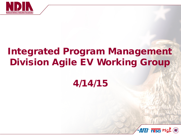

# Integrated Program Management Division Agile EV Working Group

### 4/14/15



1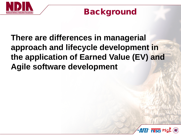

### Background

### **There are differences in managerial approach and lifecycle development in the application of Earned Value (EV) and Agile software development**

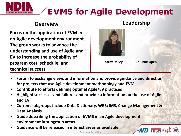

### EVMS for Agile Development

#### **Overview Leadership**

**Focus on the application of EVM in an Agile development environment. The group works to advance the understanding and use of Agile and EV to increase the probability of program cost, schedule, and technical success.**



**Kathy Dailey**

**Co-Chair Open**

- **Forum to exchange views and information and provide guidance and direction for projects that use Agile development methodology and EVM**
- **Contribute to efforts defining optimal Agile/EV practices**
- **Highlight successes and failures and provide a information on the use of Agile and EV**
- **Current subgroups include Data Dictionary, WBS/IMS, Change Management & Data Analysis**
- **Guide describing the application of EVMS in an Agile development environment in subgroup areas**
- **Guidance will be released in interest areas as available**



Business Sensitive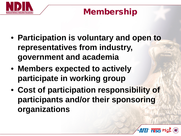

### Membership

- **Participation is voluntary and open to representatives from industry, government and academia**
- **Members expected to actively participate in working group**
- **Cost of participation responsibility of participants and/or their sponsoring organizations**

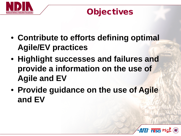

### **Objectives**

- **Contribute to efforts defining optimal Agile/EV practices**
- **Highlight successes and failures and provide a information on the use of Agile and EV**
- **Provide guidance on the use of Agile and EV**

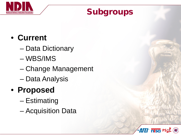

### Subgroups

### • **Current**

- Data Dictionary
- WBS/IMS
- Change Management
- Data Analysis

# • **Proposed**

- Estimating
- Acquisition Data

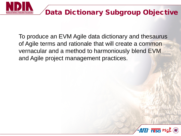

To produce an EVM Agile data dictionary and thesaurus of Agile terms and rationale that will create a common vernacular and a method to harmoniously blend EVM and Agile project management practices.

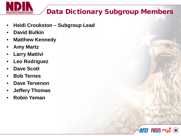

### Data Dictionary Subgroup Members

- **Heidi Crookston – Subgroup Lead**
- **David Bulkin**
- **Matthew Kennedy**
- **Amy Martz**
- **Larry Mattivi**
- **Leo Rodriguez**
- **Dave Scott**
- **Bob Ternes**
- **Dave Tervenon**
- **Jeffery Thomas**
- **Robin Yeman**

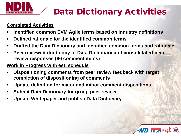

# Data Dictionary Activities

#### **Completed Activities**

- **Identified common EVM Agile terms based on industry definitions**
- **Defined rationale for the identified common terms**
- **Drafted the Data Dictionary and identified common terms and rationale**
- **Peer reviewed draft copy of Data Dictionary and consolidated peer review responses (86 comment items)**

#### **Work in Progress with est. schedule**

- **Dispositioning comments from peer review feedback with target completion of dispositioning of comments**
- **Update definition for major and minor comment dispositions**
- **Submit Data Dictionary for group peer review**
- **Update Whitepaper and publish Data Dictionary**

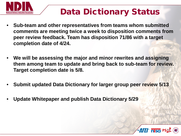

# Data Dictionary Status

- **Sub-team and other representatives from teams whom submitted comments are meeting twice a week to disposition comments from peer review feedback. Team has disposition 71/86 with a target completion date of 4/24.**
- **We will be assessing the major and minor rewrites and assigning them among team to update and bring back to sub-team for review. Target completion date is 5/8.**
- **Submit updated Data Dictionary for larger group peer review 5/13**
- **Update Whitepaper and publish Data Dictionary 5/29**

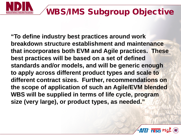

### WBS/IMS Subgroup Objective

**"To define industry best practices around work breakdown structure establishment and maintenance that incorporates both EVM and Agile practices. These best practices will be based on a set of defined standards and/or models, and will be generic enough to apply across different product types and scale to different contract sizes. Further, recommendations on the scope of application of such an Agile/EVM blended WBS will be supplied in terms of life cycle, program size (very large), or product types, as needed."**

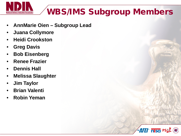

# WBS/IMS Subgroup Members

- **AnnMarie Oien – Subgroup Lead**
- **Juana Collymore**
- **Heidi Crookston**
- **Greg Davis**
- **Bob Eisenberg**
- **Renee Frazier**
- **Dennis Hall**
- **Melissa Slaughter**
- **Jim Taylor**
- **Brian Valenti**
- **Robin Yeman**

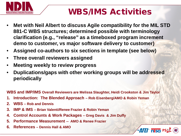

### WBS/IMS Activities

- **Met with Neil Albert to discuss Agile compatibility for the MIL STD 881-C WBS structures; determined possible with terminology clarification (e.g., "release" as a timeboxed program increment demo to customer, vs major software delivery to customer)**
- **Assigned co-authors to six sections in template (see below)**
- **Three overall reviewers assigned**
- **Meeting weekly to review progress**
- **Duplications/gaps with other working groups will be addressed periodically**

**WBS and IMP/IMS Overall Reviewers are Melissa Slaughter, Heidi Crookston & Jim Taylor**

- **1. Introduction: The Blended Approach – Rob Eisenberg/AMO & Robin Yeman**
- **2. WBS – Rob and Dennis**
- **3. IMP & IMS – Brian Valenti/Renee Frazier & Robin Yeman**
- **4. Control Accounts & Work Packages – Greg Davis & Jim Duffy**
- **5. Performance Measurement -- AMO & Renee Frazier**
- **6. References – Dennis Hall & AMO**

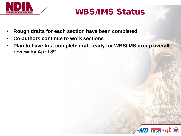

### WBS/IMS Status

- **Rough drafts for each section have been completed**
- **Co-authors continue to work sections**
- **Plan to have first complete draft ready for WBS/IMS group overall review by April 8th**

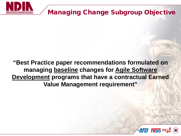

#### Managing Change Subgroup Objective

#### **"Best Practice paper recommendations formulated on managing baseline changes for Agile Software Development programs that have a contractual Earned Value Management requirement"**

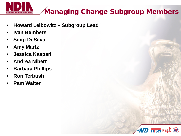

### Managing Change Subgroup Members

- **Howard Leibowitz – Subgroup Lead**
- **Ivan Bembers**
- **Singi DeSilva**
- **Amy Martz**
- **Jessica Kaspari**
- **Andrea Nibert**
- **Barbara Phillips**
- **Ron Terbush**
- **Pam Walter**

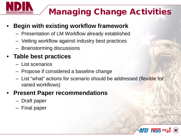

# Managing Change Activities

#### • **Begin with existing workflow framework**

- Presentation of LM Workflow already established
- Vetting workflow against industry best practices
- Brainstorming discussions

### • **Table best practices**

- List scenarios
- Propose if considered a baseline change
- List "what" actions for scenario should be addressed (flexible for varied workflows)

#### • **Present Paper recommendations**

- Draft paper
- Final paper

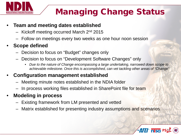

# Managing Change Status

#### • **Team and meeting dates established**

- $-$  Kickoff meeting occurred March  $2<sup>nd</sup>$  2015
- Follow on meetings every two weeks as one hour noon session

#### • **Scope defined**

- Decision to focus on "Budget" changes only
- Decision to focus on "Development Software Changes" only
	- *Due to the nature of Change encompassing a large undertaking, narrowed down scope to achievable milestone. Once this is accomplished, can vet tackling other areas of "Change"*

#### • **Configuration management established**

- Meeting minute notes established in the NDIA folder
- In process working files established in SharePoint file for team
- **Modeling in process**
	- Existing framework from LM presented and vetted
	- Matrix established for presenting industry assumptions and scenarios

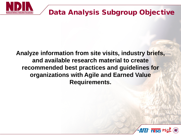

### Data Analysis Subgroup Objective

#### **Analyze information from site visits, industry briefs, and available research material to create recommended best practices and guidelines for organizations with Agile and Earned Value Requirements.**

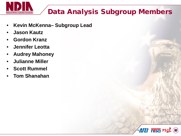

### Data Analysis Subgroup Members

- **Kevin McKenna– Subgroup Lead**
- **Jason Kautz**
- **Gordon Kranz**
- **Jennifer Leotta**
- **Audrey Mahoney**
- **Julianne Miller**
- **Scott Rummel**
- **Tom Shanahan**

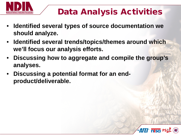

# Data Analysis Activities

- **Identified several types of source documentation we should analyze.**
- **Identified several trends/topics/themes around which we'll focus our analysis efforts.**
- **Discussing how to aggregate and compile the group's analyses.**
- **Discussing a potential format for an endproduct/deliverable.**

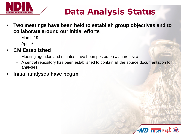

# Data Analysis Status

- **Two meetings have been held to establish group objectives and to collaborate around our initial efforts**
	- March 19
	- April 9

#### • **CM Established**

- Meeting agendas and minutes have been posted on a shared site
- A central repository has been established to contain all the source documentation for analyses.
- **Initial analyses have begun**